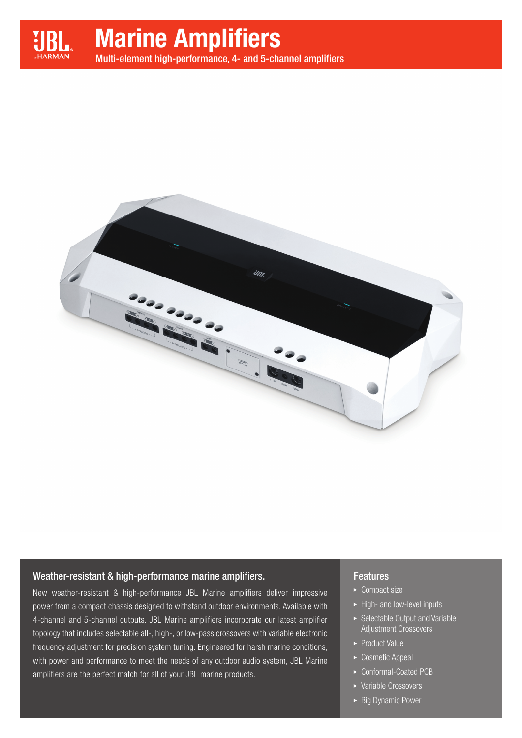

# Marine Amplifiers

Multi-element high-performance, 4- and 5-channel amplifiers



## Weather-resistant & high-performance marine amplifiers.

New weather-resistant & high-performance JBL Marine amplifiers deliver impressive power from a compact chassis designed to withstand outdoor environments. Available with 4-channel and 5-channel outputs. JBL Marine amplifiers incorporate our latest amplifier topology that includes selectable all-, high-, or low-pass crossovers with variable electronic frequency adjustment for precision system tuning. Engineered for harsh marine conditions, with power and performance to meet the needs of any outdoor audio system, JBL Marine amplifiers are the perfect match for all of your JBL marine products.

## **Features**

- ▶ Compact size
- ▶ High- and low-level inputs
- Selectable Output and Variable Adjustment Crossovers
- ▶ Product Value
- ▶ Cosmetic Appeal
- ▶ Conformal-Coated PCB
- Variable Crossovers
- ► Big Dynamic Power